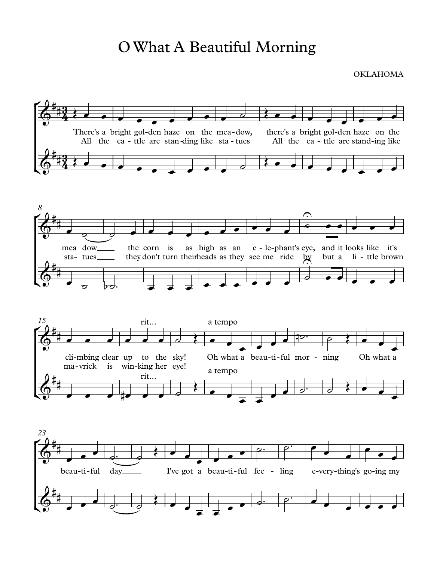## O What A Beautiful Morning

**OKLAHOMA**